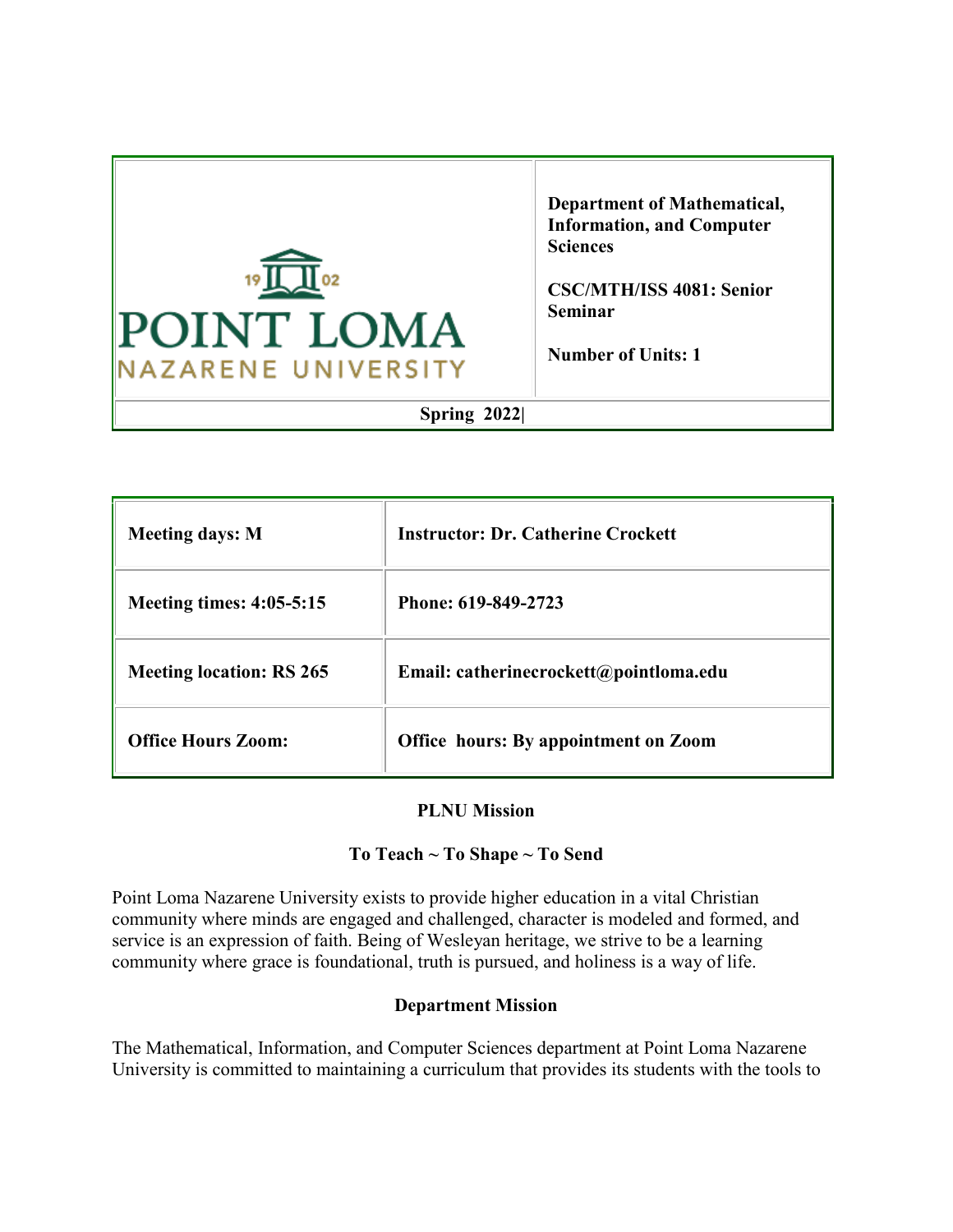

**Department of Mathematical, Information, and Computer Sciences**

**CSC/MTH/ISS 4081: Senior Seminar**

**Number of Units: 1**

# **Spring 2022|**

| <b>Meeting days: M</b>          | <b>Instructor: Dr. Catherine Crockett</b>   |
|---------------------------------|---------------------------------------------|
| <b>Meeting times: 4:05-5:15</b> | Phone: 619-849-2723                         |
| <b>Meeting location: RS 265</b> | Email: catherinecrockett@pointloma.edu      |
| <b>Office Hours Zoom:</b>       | <b>Office hours: By appointment on Zoom</b> |

## **PLNU Mission**

## **To Teach ~ To Shape ~ To Send**

Point Loma Nazarene University exists to provide higher education in a vital Christian community where minds are engaged and challenged, character is modeled and formed, and service is an expression of faith. Being of Wesleyan heritage, we strive to be a learning community where grace is foundational, truth is pursued, and holiness is a way of life.

#### **Department Mission**

The Mathematical, Information, and Computer Sciences department at Point Loma Nazarene University is committed to maintaining a curriculum that provides its students with the tools to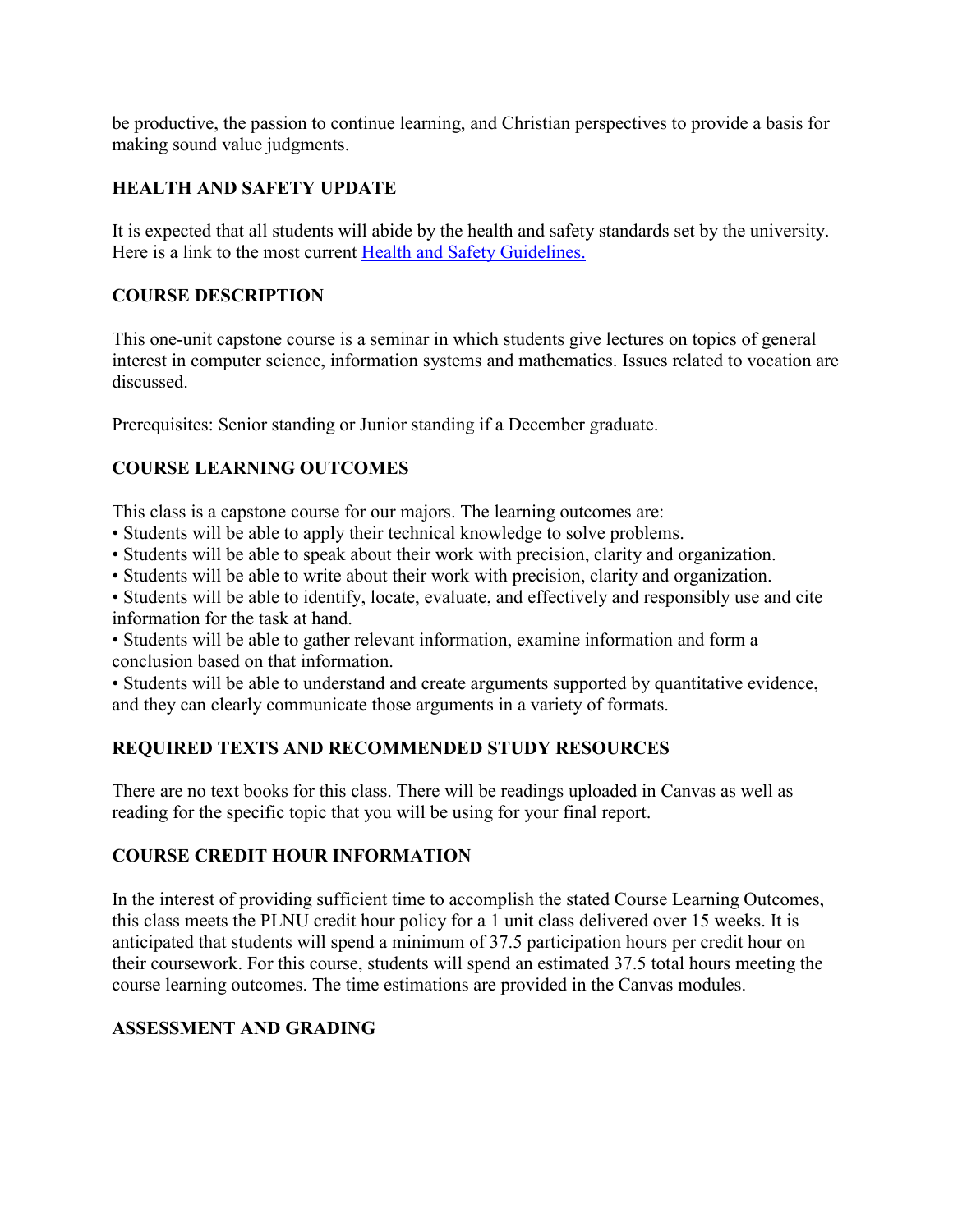be productive, the passion to continue learning, and Christian perspectives to provide a basis for making sound value judgments.

## **HEALTH AND SAFETY UPDATE**

It is expected that all students will abide by the health and safety standards set by the university. Here is a link to the most current [Health and Safety Guidelines.](https://www.pointloma.edu/coronavirus-covid-19-information)

## **COURSE DESCRIPTION**

This one-unit capstone course is a seminar in which students give lectures on topics of general interest in computer science, information systems and mathematics. Issues related to vocation are discussed.

Prerequisites: Senior standing or Junior standing if a December graduate.

# **COURSE LEARNING OUTCOMES**

This class is a capstone course for our majors. The learning outcomes are:

- Students will be able to apply their technical knowledge to solve problems.
- Students will be able to speak about their work with precision, clarity and organization.
- Students will be able to write about their work with precision, clarity and organization.

• Students will be able to identify, locate, evaluate, and effectively and responsibly use and cite information for the task at hand.

• Students will be able to gather relevant information, examine information and form a conclusion based on that information.

• Students will be able to understand and create arguments supported by quantitative evidence, and they can clearly communicate those arguments in a variety of formats.

# **REQUIRED TEXTS AND RECOMMENDED STUDY RESOURCES**

There are no text books for this class. There will be readings uploaded in Canvas as well as reading for the specific topic that you will be using for your final report.

## **COURSE CREDIT HOUR INFORMATION**

In the interest of providing sufficient time to accomplish the stated Course Learning Outcomes, this class meets the PLNU credit hour policy for a 1 unit class delivered over 15 weeks. It is anticipated that students will spend a minimum of 37.5 participation hours per credit hour on their coursework. For this course, students will spend an estimated 37.5 total hours meeting the course learning outcomes. The time estimations are provided in the Canvas modules.

## **ASSESSMENT AND GRADING**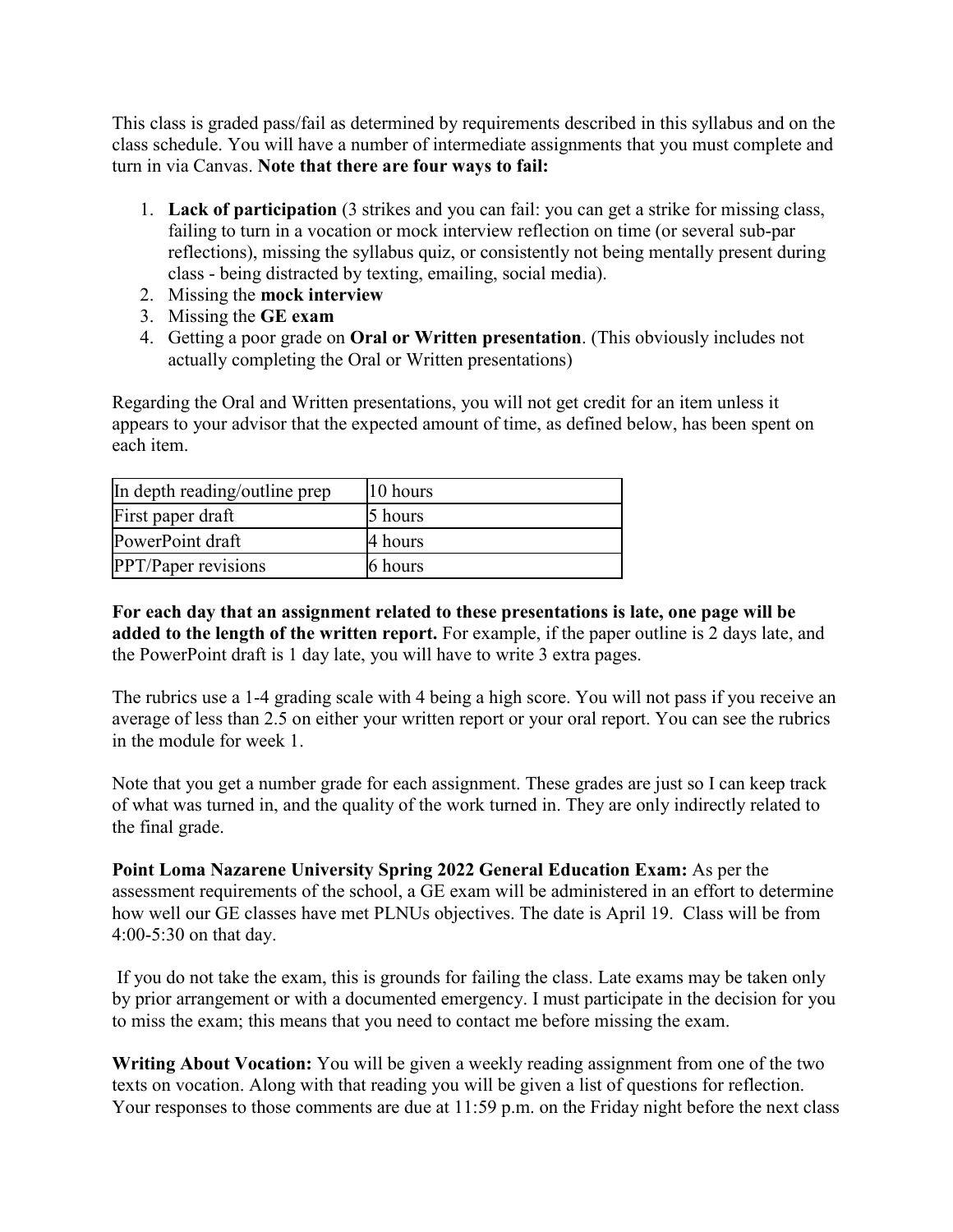This class is graded pass/fail as determined by requirements described in this syllabus and on the class schedule. You will have a number of intermediate assignments that you must complete and turn in via Canvas. **Note that there are four ways to fail:**

- 1. **Lack of participation** (3 strikes and you can fail: you can get a strike for missing class, failing to turn in a vocation or mock interview reflection on time (or several sub-par reflections), missing the syllabus quiz, or consistently not being mentally present during class - being distracted by texting, emailing, social media).
- 2. Missing the **mock interview**
- 3. Missing the **GE exam**
- 4. Getting a poor grade on **Oral or Written presentation**. (This obviously includes not actually completing the Oral or Written presentations)

Regarding the Oral and Written presentations, you will not get credit for an item unless it appears to your advisor that the expected amount of time, as defined below, has been spent on each item.

| In depth reading/outline prep | $ 10 \text{ hours} $ |
|-------------------------------|----------------------|
| First paper draft             | 5 hours              |
| PowerPoint draft              | 4 hours              |
| <b>PPT/Paper revisions</b>    | 6 hours              |

**For each day that an assignment related to these presentations is late, one page will be added to the length of the written report.** For example, if the paper outline is 2 days late, and the PowerPoint draft is 1 day late, you will have to write 3 extra pages.

The rubrics use a 1-4 grading scale with 4 being a high score. You will not pass if you receive an average of less than 2.5 on either your written report or your oral report. You can see the rubrics in the module for week 1.

Note that you get a number grade for each assignment. These grades are just so I can keep track of what was turned in, and the quality of the work turned in. They are only indirectly related to the final grade.

**Point Loma Nazarene University Spring 2022 General Education Exam:** As per the assessment requirements of the school, a GE exam will be administered in an effort to determine how well our GE classes have met PLNUs objectives. The date is April 19. Class will be from 4:00-5:30 on that day.

If you do not take the exam, this is grounds for failing the class. Late exams may be taken only by prior arrangement or with a documented emergency. I must participate in the decision for you to miss the exam; this means that you need to contact me before missing the exam.

**Writing About Vocation:** You will be given a weekly reading assignment from one of the two texts on vocation. Along with that reading you will be given a list of questions for reflection. Your responses to those comments are due at 11:59 p.m. on the Friday night before the next class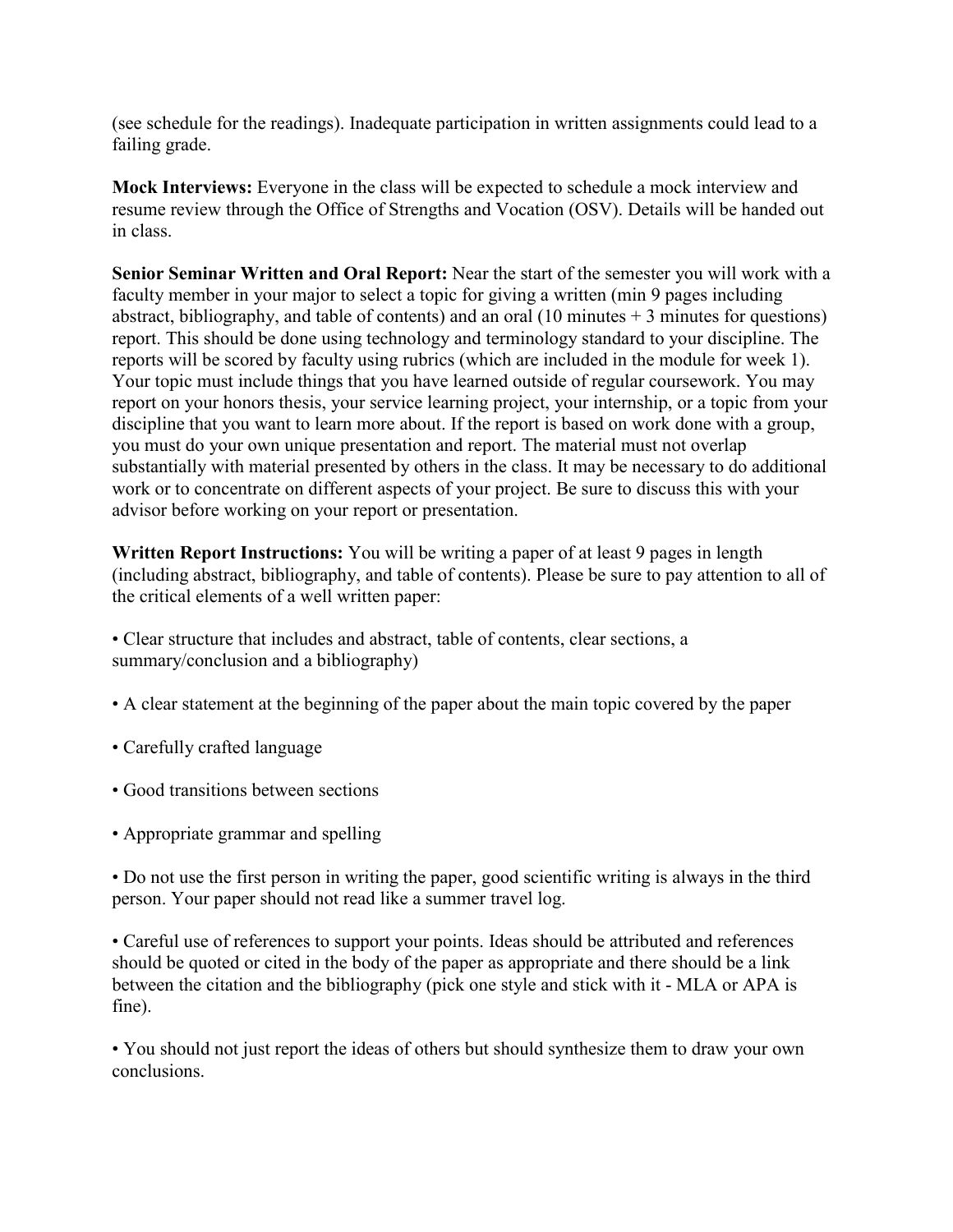(see schedule for the readings). Inadequate participation in written assignments could lead to a failing grade.

**Mock Interviews:** Everyone in the class will be expected to schedule a mock interview and resume review through the Office of Strengths and Vocation (OSV). Details will be handed out in class.

**Senior Seminar Written and Oral Report:** Near the start of the semester you will work with a faculty member in your major to select a topic for giving a written (min 9 pages including abstract, bibliography, and table of contents) and an oral (10 minutes + 3 minutes for questions) report. This should be done using technology and terminology standard to your discipline. The reports will be scored by faculty using rubrics (which are included in the module for week 1). Your topic must include things that you have learned outside of regular coursework. You may report on your honors thesis, your service learning project, your internship, or a topic from your discipline that you want to learn more about. If the report is based on work done with a group, you must do your own unique presentation and report. The material must not overlap substantially with material presented by others in the class. It may be necessary to do additional work or to concentrate on different aspects of your project. Be sure to discuss this with your advisor before working on your report or presentation.

**Written Report Instructions:** You will be writing a paper of at least 9 pages in length (including abstract, bibliography, and table of contents). Please be sure to pay attention to all of the critical elements of a well written paper:

- Clear structure that includes and abstract, table of contents, clear sections, a summary/conclusion and a bibliography)
- A clear statement at the beginning of the paper about the main topic covered by the paper
- Carefully crafted language
- Good transitions between sections
- Appropriate grammar and spelling

• Do not use the first person in writing the paper, good scientific writing is always in the third person. Your paper should not read like a summer travel log.

• Careful use of references to support your points. Ideas should be attributed and references should be quoted or cited in the body of the paper as appropriate and there should be a link between the citation and the bibliography (pick one style and stick with it - MLA or APA is fine).

• You should not just report the ideas of others but should synthesize them to draw your own conclusions.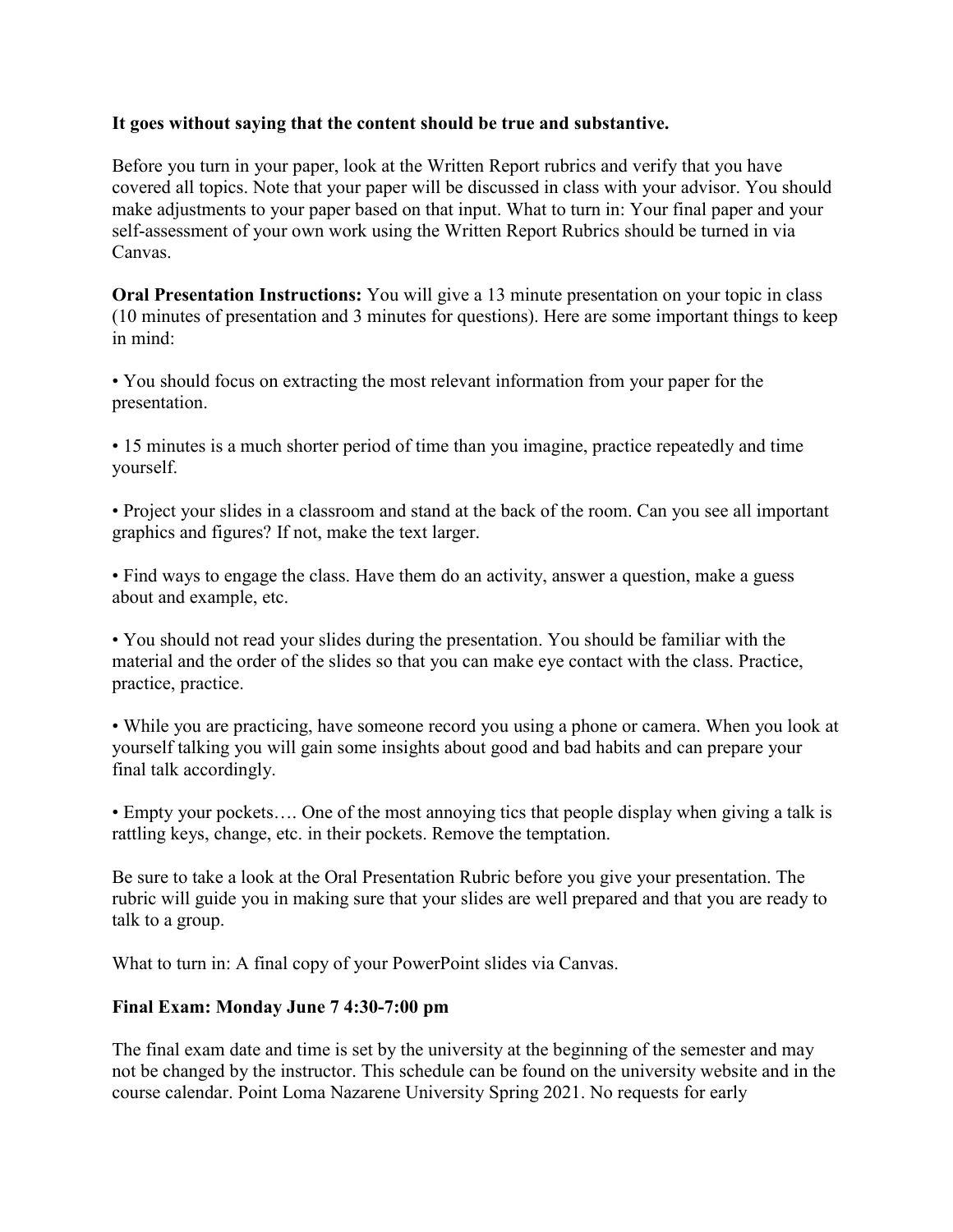#### **It goes without saying that the content should be true and substantive.**

Before you turn in your paper, look at the Written Report rubrics and verify that you have covered all topics. Note that your paper will be discussed in class with your advisor. You should make adjustments to your paper based on that input. What to turn in: Your final paper and your self-assessment of your own work using the Written Report Rubrics should be turned in via Canvas.

**Oral Presentation Instructions:** You will give a 13 minute presentation on your topic in class (10 minutes of presentation and 3 minutes for questions). Here are some important things to keep in mind:

• You should focus on extracting the most relevant information from your paper for the presentation.

• 15 minutes is a much shorter period of time than you imagine, practice repeatedly and time yourself.

• Project your slides in a classroom and stand at the back of the room. Can you see all important graphics and figures? If not, make the text larger.

• Find ways to engage the class. Have them do an activity, answer a question, make a guess about and example, etc.

• You should not read your slides during the presentation. You should be familiar with the material and the order of the slides so that you can make eye contact with the class. Practice, practice, practice.

• While you are practicing, have someone record you using a phone or camera. When you look at yourself talking you will gain some insights about good and bad habits and can prepare your final talk accordingly.

• Empty your pockets.... One of the most annoying tics that people display when giving a talk is rattling keys, change, etc. in their pockets. Remove the temptation.

Be sure to take a look at the Oral Presentation Rubric before you give your presentation. The rubric will guide you in making sure that your slides are well prepared and that you are ready to talk to a group.

What to turn in: A final copy of your PowerPoint slides via Canvas.

## **Final Exam: Monday June 7 4:30-7:00 pm**

The final exam date and time is set by the university at the beginning of the semester and may not be changed by the instructor. This schedule can be found on the university website and in the course calendar. Point Loma Nazarene University Spring 2021. No requests for early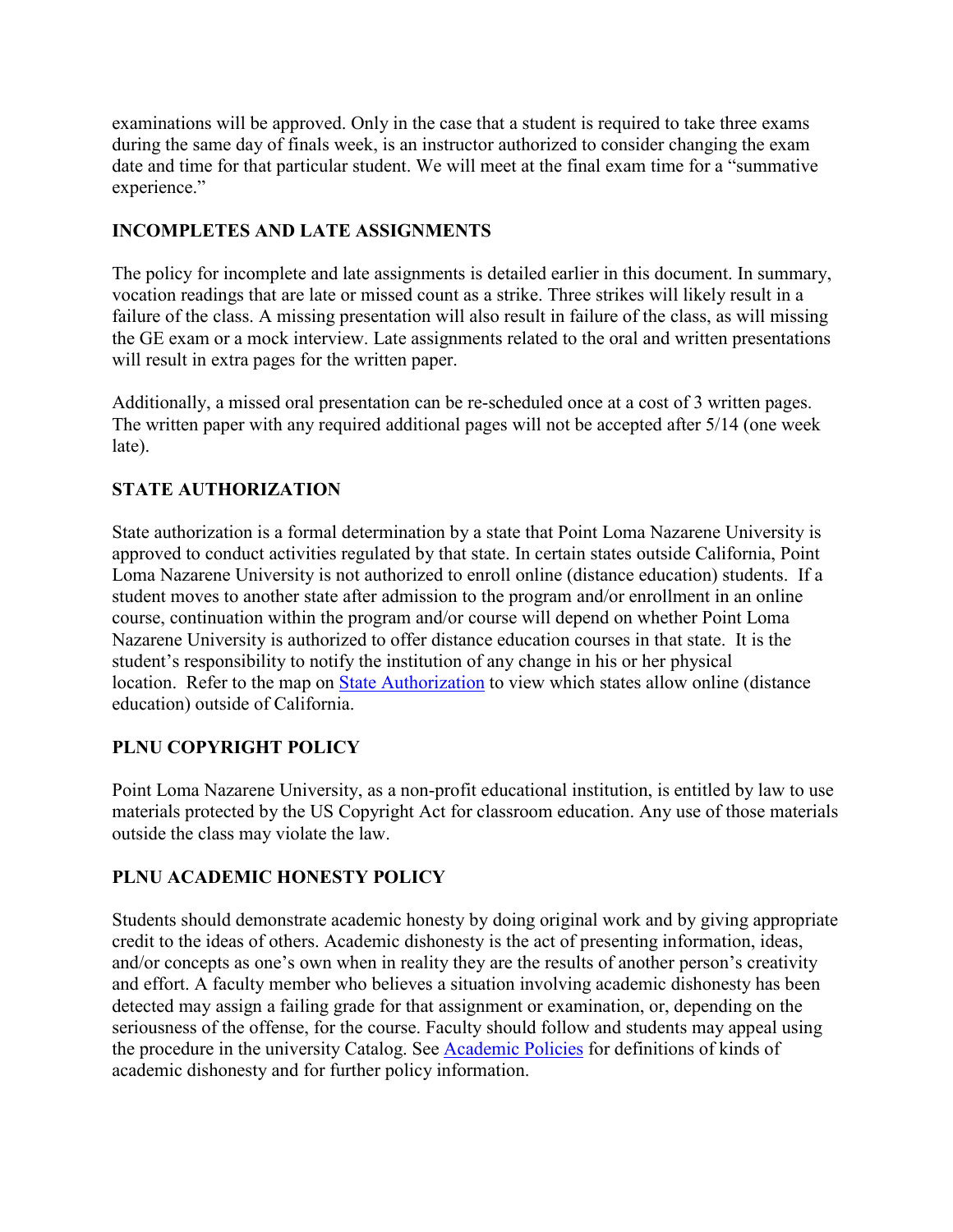examinations will be approved. Only in the case that a student is required to take three exams during the same day of finals week, is an instructor authorized to consider changing the exam date and time for that particular student. We will meet at the final exam time for a "summative experience."

# **INCOMPLETES AND LATE ASSIGNMENTS**

The policy for incomplete and late assignments is detailed earlier in this document. In summary, vocation readings that are late or missed count as a strike. Three strikes will likely result in a failure of the class. A missing presentation will also result in failure of the class, as will missing the GE exam or a mock interview. Late assignments related to the oral and written presentations will result in extra pages for the written paper.

Additionally, a missed oral presentation can be re-scheduled once at a cost of 3 written pages. The written paper with any required additional pages will not be accepted after 5/14 (one week late).

# **STATE AUTHORIZATION**

State authorization is a formal determination by a state that Point Loma Nazarene University is approved to conduct activities regulated by that state. In certain states outside California, Point Loma Nazarene University is not authorized to enroll online (distance education) students. If a student moves to another state after admission to the program and/or enrollment in an online course, continuation within the program and/or course will depend on whether Point Loma Nazarene University is authorized to offer distance education courses in that state. It is the student's responsibility to notify the institution of any change in his or her physical location. Refer to the map on [State Authorization](https://www.pointloma.edu/offices/office-institutional-effectiveness-research/disclosures) to view which states allow online (distance education) outside of California.

## **PLNU COPYRIGHT POLICY**

Point Loma Nazarene University, as a non-profit educational institution, is entitled by law to use materials protected by the US Copyright Act for classroom education. Any use of those materials outside the class may violate the law.

## **PLNU ACADEMIC HONESTY POLICY**

Students should demonstrate academic honesty by doing original work and by giving appropriate credit to the ideas of others. Academic dishonesty is the act of presenting information, ideas, and/or concepts as one's own when in reality they are the results of another person's creativity and effort. A faculty member who believes a situation involving academic dishonesty has been detected may assign a failing grade for that assignment or examination, or, depending on the seriousness of the offense, for the course. Faculty should follow and students may appeal using the procedure in the university Catalog. See [Academic Policies](http://catalog.pointloma.edu/content.php?catoid=18&navoid=1278) for definitions of kinds of academic dishonesty and for further policy information.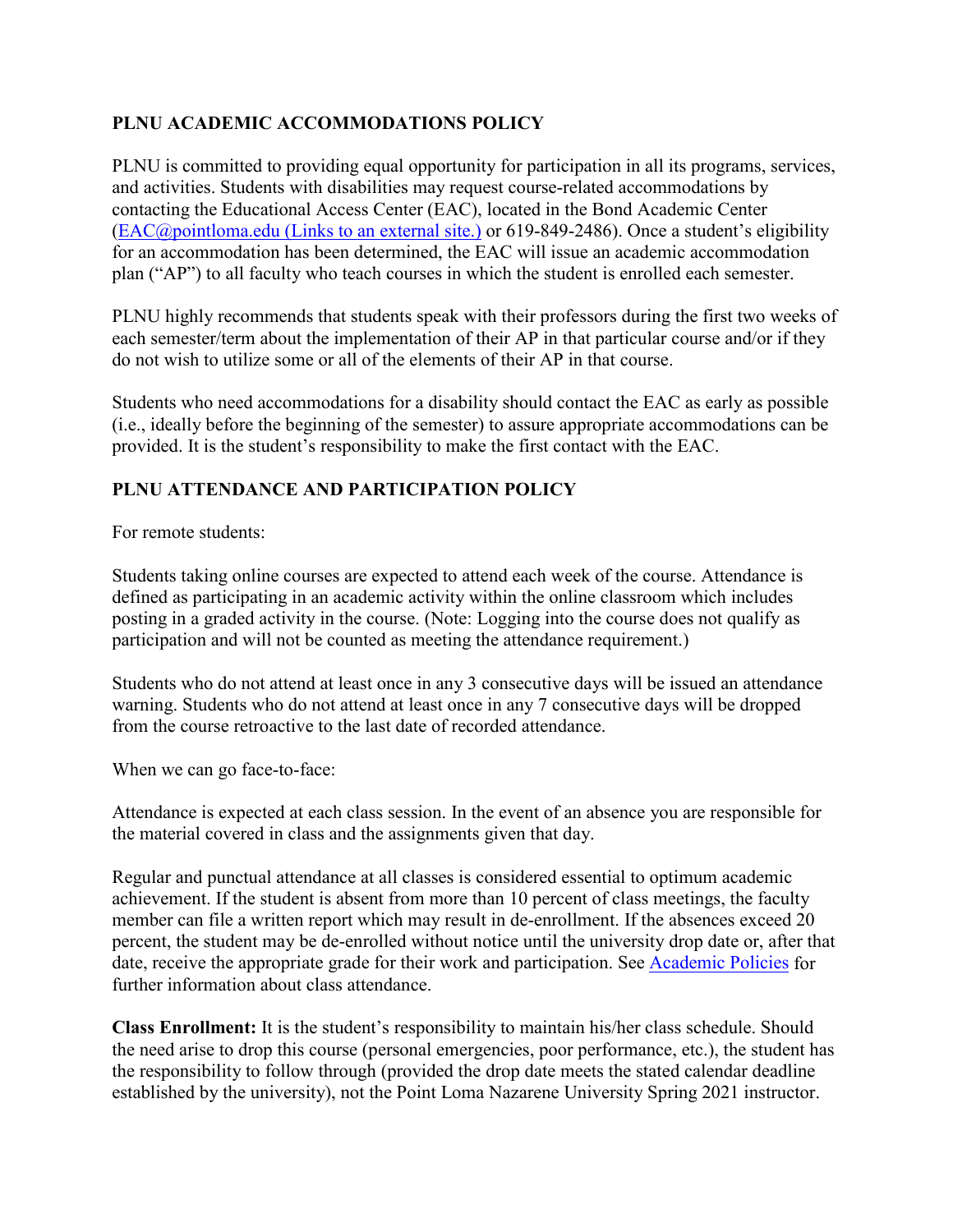# **PLNU ACADEMIC ACCOMMODATIONS POLICY**

PLNU is committed to providing equal opportunity for participation in all its programs, services, and activities. Students with disabilities may request course-related accommodations by contacting the Educational Access Center (EAC), located in the Bond Academic Center (EAC@pointloma.edu [\(Links to an external site.\)](https://mail.google.com/mail/?view=cm&fs=1&tf=1&to=EAC@pointloma.edu) or 619-849-2486). Once a student's eligibility for an accommodation has been determined, the EAC will issue an academic accommodation plan ("AP") to all faculty who teach courses in which the student is enrolled each semester.

PLNU highly recommends that students speak with their professors during the first two weeks of each semester/term about the implementation of their AP in that particular course and/or if they do not wish to utilize some or all of the elements of their AP in that course.

Students who need accommodations for a disability should contact the EAC as early as possible (i.e., ideally before the beginning of the semester) to assure appropriate accommodations can be provided. It is the student's responsibility to make the first contact with the EAC.

# **PLNU ATTENDANCE AND PARTICIPATION POLICY**

For remote students:

Students taking online courses are expected to attend each week of the course. Attendance is defined as participating in an academic activity within the online classroom which includes posting in a graded activity in the course. (Note: Logging into the course does not qualify as participation and will not be counted as meeting the attendance requirement.)

Students who do not attend at least once in any 3 consecutive days will be issued an attendance warning. Students who do not attend at least once in any 7 consecutive days will be dropped from the course retroactive to the last date of recorded attendance.

When we can go face-to-face:

Attendance is expected at each class session. In the event of an absence you are responsible for the material covered in class and the assignments given that day.

Regular and punctual attendance at all classes is considered essential to optimum academic achievement. If the student is absent from more than 10 percent of class meetings, the faculty member can file a written report which may result in de-enrollment. If the absences exceed 20 percent, the student may be de-enrolled without notice until the university drop date or, after that date, receive the appropriate grade for their work and participation. See [Academic Policies](http://catalog.pointloma.edu/content.php?catoid=18&navoid=1278) for further information about class attendance.

**Class Enrollment:** It is the student's responsibility to maintain his/her class schedule. Should the need arise to drop this course (personal emergencies, poor performance, etc.), the student has the responsibility to follow through (provided the drop date meets the stated calendar deadline established by the university), not the Point Loma Nazarene University Spring 2021 instructor.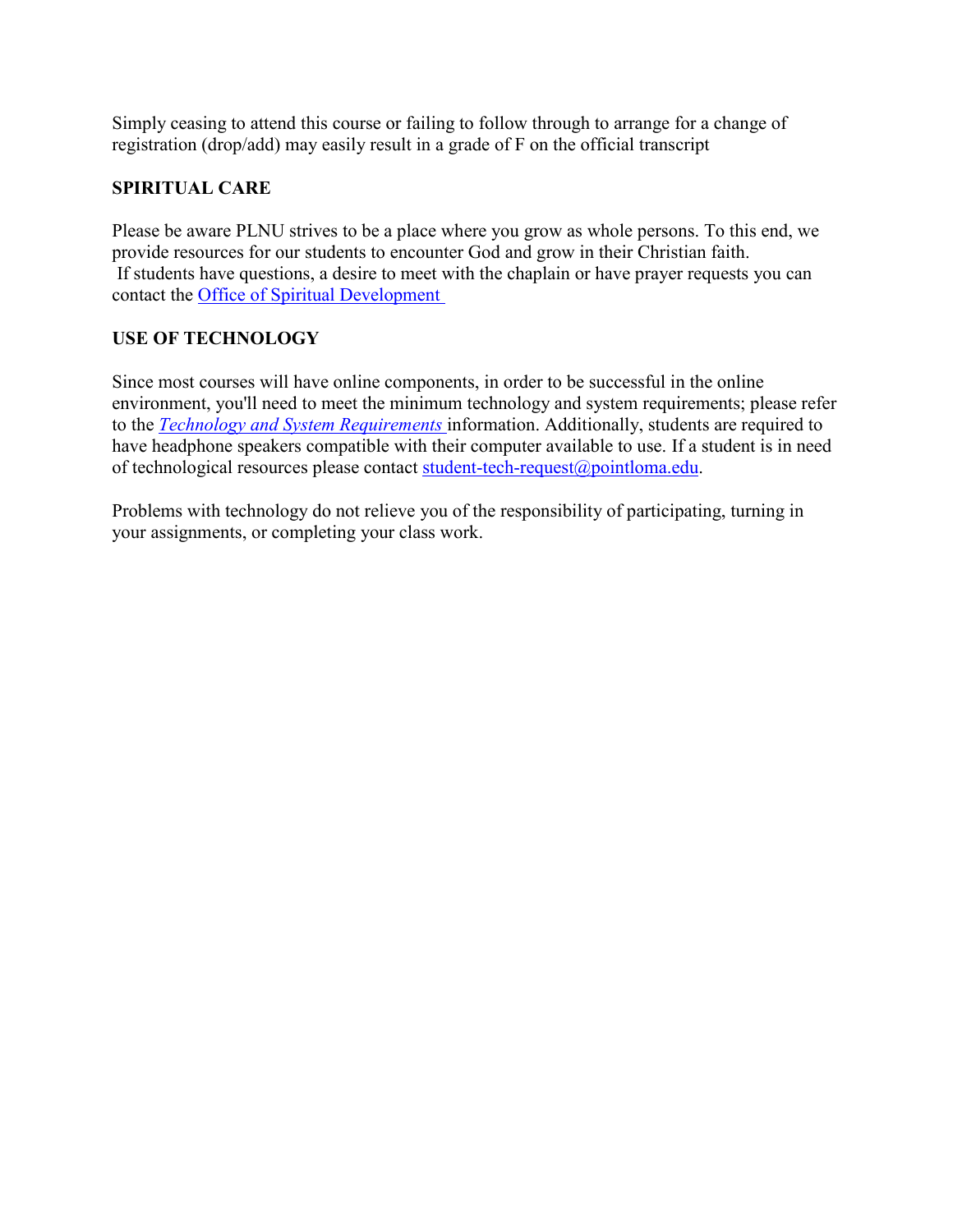Simply ceasing to attend this course or failing to follow through to arrange for a change of registration (drop/add) may easily result in a grade of F on the official transcript

# **SPIRITUAL CARE**

Please be aware PLNU strives to be a place where you grow as whole persons. To this end, we provide resources for our students to encounter God and grow in their Christian faith. If students have questions, a desire to meet with the chaplain or have prayer requests you can contact the [Office of Spiritual Development](https://www.pointloma.edu/offices/spiritual-development)

# **USE OF TECHNOLOGY**

Since most courses will have online components, in order to be successful in the online environment, you'll need to meet the minimum technology and system requirements; please refer to the *[Technology and System Requirements](https://help.pointloma.edu/TDClient/1808/Portal/KB/ArticleDet?ID=108349)* information. Additionally, students are required to have headphone speakers compatible with their computer available to use. If a student is in need of technological resources please contact [student-tech-request@pointloma.edu.](mailto:student-tech-request@pointloma.edu)

Problems with technology do not relieve you of the responsibility of participating, turning in your assignments, or completing your class work.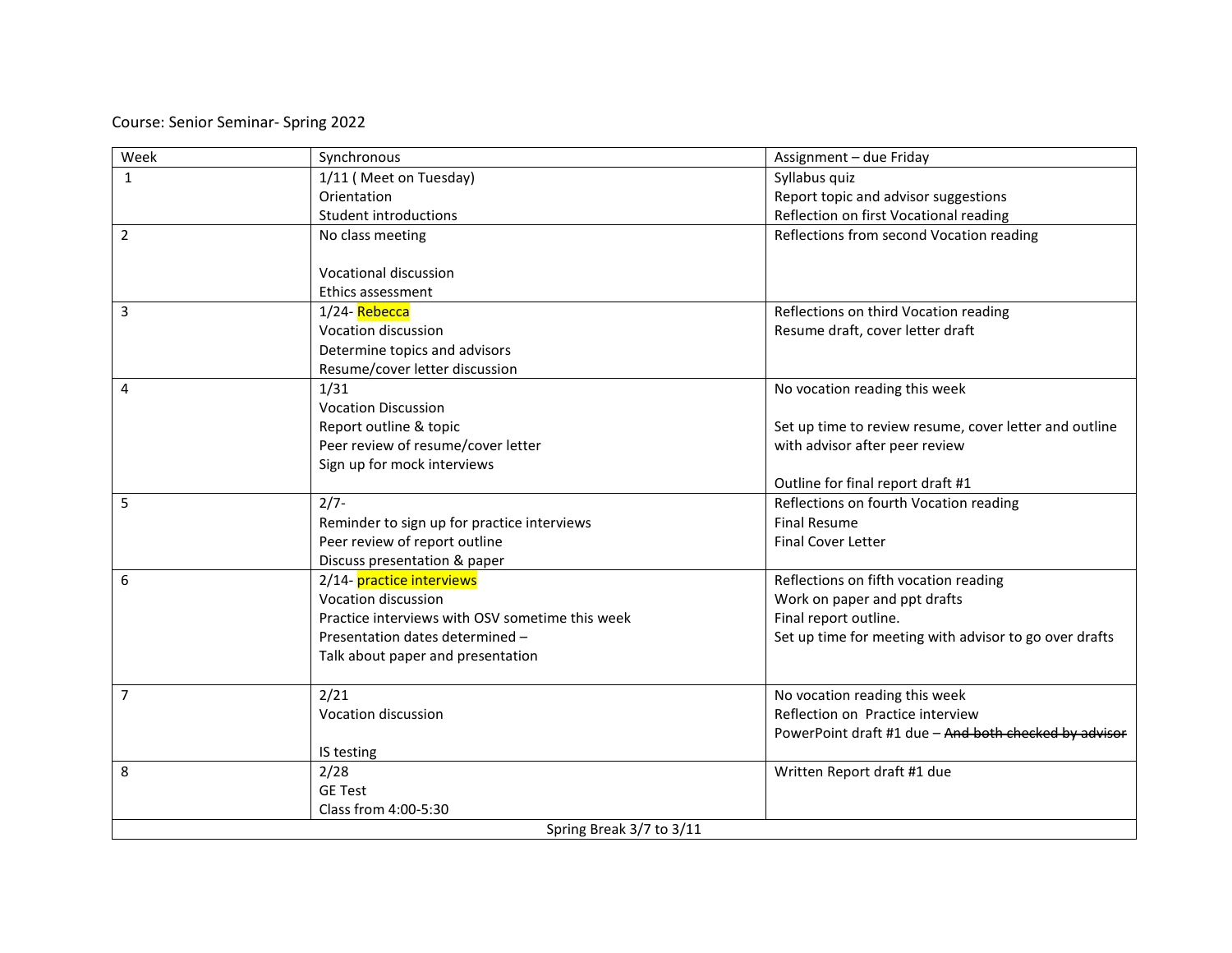Course: Senior Seminar- Spring 2022

| Week           | Synchronous                                     | Assignment - due Friday                                |
|----------------|-------------------------------------------------|--------------------------------------------------------|
| $\mathbf{1}$   | 1/11 (Meet on Tuesday)                          | Syllabus quiz                                          |
|                | Orientation                                     | Report topic and advisor suggestions                   |
|                | Student introductions                           | Reflection on first Vocational reading                 |
| $\overline{2}$ | No class meeting                                | Reflections from second Vocation reading               |
|                |                                                 |                                                        |
|                | Vocational discussion                           |                                                        |
|                | <b>Ethics assessment</b>                        |                                                        |
| 3              | 1/24-Rebecca                                    | Reflections on third Vocation reading                  |
|                | Vocation discussion                             | Resume draft, cover letter draft                       |
|                | Determine topics and advisors                   |                                                        |
|                | Resume/cover letter discussion                  |                                                        |
| 4              | 1/31                                            | No vocation reading this week                          |
|                | <b>Vocation Discussion</b>                      |                                                        |
|                | Report outline & topic                          | Set up time to review resume, cover letter and outline |
|                | Peer review of resume/cover letter              | with advisor after peer review                         |
|                | Sign up for mock interviews                     |                                                        |
|                |                                                 | Outline for final report draft #1                      |
| 5              | $2/7 -$                                         | Reflections on fourth Vocation reading                 |
|                | Reminder to sign up for practice interviews     | <b>Final Resume</b>                                    |
|                | Peer review of report outline                   | <b>Final Cover Letter</b>                              |
|                | Discuss presentation & paper                    |                                                        |
| 6              | 2/14- practice interviews                       | Reflections on fifth vocation reading                  |
|                | Vocation discussion                             | Work on paper and ppt drafts                           |
|                | Practice interviews with OSV sometime this week | Final report outline.                                  |
|                | Presentation dates determined -                 | Set up time for meeting with advisor to go over drafts |
|                | Talk about paper and presentation               |                                                        |
| 7              | 2/21                                            | No vocation reading this week                          |
|                | Vocation discussion                             | Reflection on Practice interview                       |
|                |                                                 | PowerPoint draft #1 due - And both checked by advisor  |
|                | IS testing                                      |                                                        |
| 8              | 2/28                                            | Written Report draft #1 due                            |
|                | <b>GE Test</b>                                  |                                                        |
|                | Class from 4:00-5:30                            |                                                        |
|                | Spring Break 3/7 to 3/11                        |                                                        |